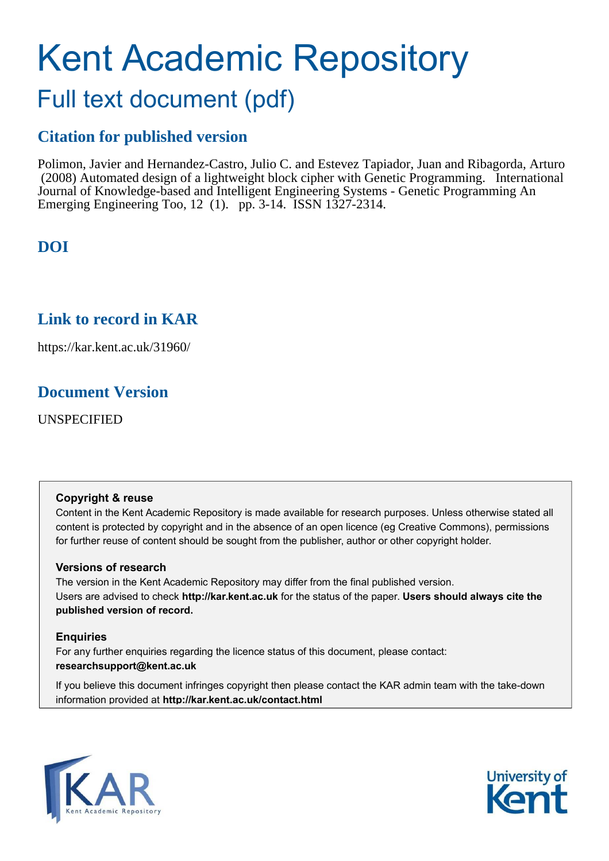# Kent Academic Repository

## Full text document (pdf)

## **Citation for published version**

Polimon, Javier and Hernandez-Castro, Julio C. and Estevez Tapiador, Juan and Ribagorda, Arturo (2008) Automated design of a lightweight block cipher with Genetic Programming. International Journal of Knowledge-based and Intelligent Engineering Systems - Genetic Programming An Emerging Engineering Too, 12 (1). pp. 3-14. ISSN 1327-2314.

## **DOI**

## **Link to record in KAR**

https://kar.kent.ac.uk/31960/

## **Document Version**

UNSPECIFIED

#### **Copyright & reuse**

Content in the Kent Academic Repository is made available for research purposes. Unless otherwise stated all content is protected by copyright and in the absence of an open licence (eg Creative Commons), permissions for further reuse of content should be sought from the publisher, author or other copyright holder.

#### **Versions of research**

The version in the Kent Academic Repository may differ from the final published version. Users are advised to check **http://kar.kent.ac.uk** for the status of the paper. **Users should always cite the published version of record.**

#### **Enquiries**

For any further enquiries regarding the licence status of this document, please contact: **researchsupport@kent.ac.uk**

If you believe this document infringes copyright then please contact the KAR admin team with the take-down information provided at **http://kar.kent.ac.uk/contact.html**



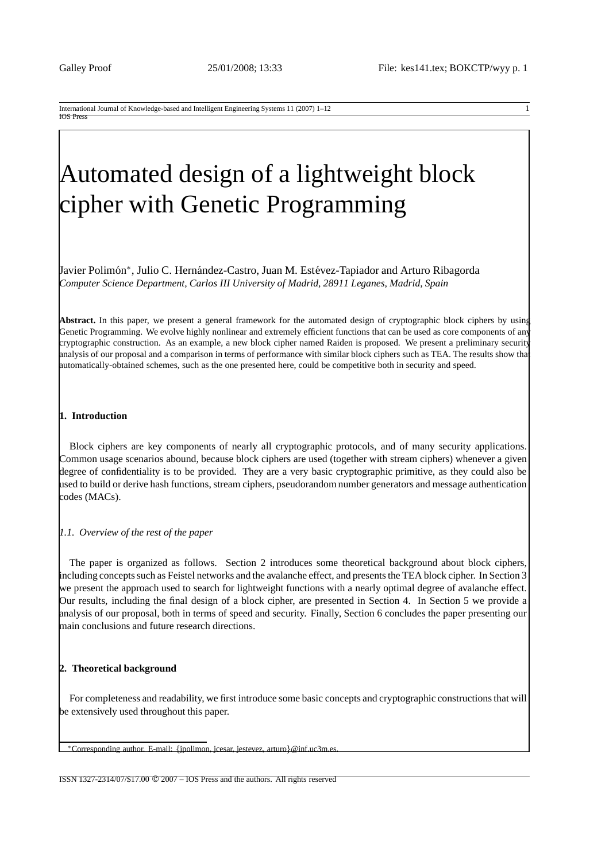International Journal of Knowledge-based and Intelligent Engineering Systems 11 (2007) 1–12 IOS Press

# Automated design of a lightweight block cipher with Genetic Programming

Javier Polimón\*, Julio C. Hernández-Castro, Juan M. Estévez-Tapiador and Arturo Ribagorda *Computer Science Department, Carlos III University of Madrid, 28911 Leganes, Madrid, Spain*

**Abstract.** In this paper, we present a general framework for the automated design of cryptographic block ciphers by using Genetic Programming. We evolve highly nonlinear and extremely efficient functions that can be used as core components of any cryptographic construction. As an example, a new block cipher named Raiden is proposed. We present a preliminary security analysis of our proposal and a comparison in terms of performance with similar block ciphers such as TEA. The results show that automatically-obtained schemes, such as the one presented here, could be competitive both in security and speed.

#### **1. Introduction**

Block ciphers are key components of nearly all cryptographic protocols, and of many security applications. Common usage scenarios abound, because block ciphers are used (together with stream ciphers) whenever a given degree of confidentiality is to be provided. They are a very basic cryptographic primitive, as they could also be used to build or derive hash functions, stream ciphers, pseudorandom number generators and message authentication codes (MACs).

#### *1.1. Overview of the rest of the paper*

The paper is organized as follows. Section 2 introduces some theoretical background about block ciphers, including concepts such as Feistel networks and the avalanche effect, and presents the TEA block cipher. In Section 3 we present the approach used to search for lightweight functions with a nearly optimal degree of avalanche effect. Our results, including the final design of a block cipher, are presented in Section 4. In Section 5 we provide a analysis of our proposal, both in terms of speed and security. Finally, Section 6 concludes the paper presenting our main conclusions and future research directions.

#### **2. Theoretical background**

For completeness and readability, we first introduce some basic concepts and cryptographic constructions that will be extensively used throughout this paper.

<sup>∗</sup>Corresponding author. E-mail: {jpolimon, jcesar, jestevez, arturo}@inf.uc3m.es.

ISSN  $1327-2314/07/1517.00 \n\heartsuit 2007 - 10S$  Press and the authors. All rights reserved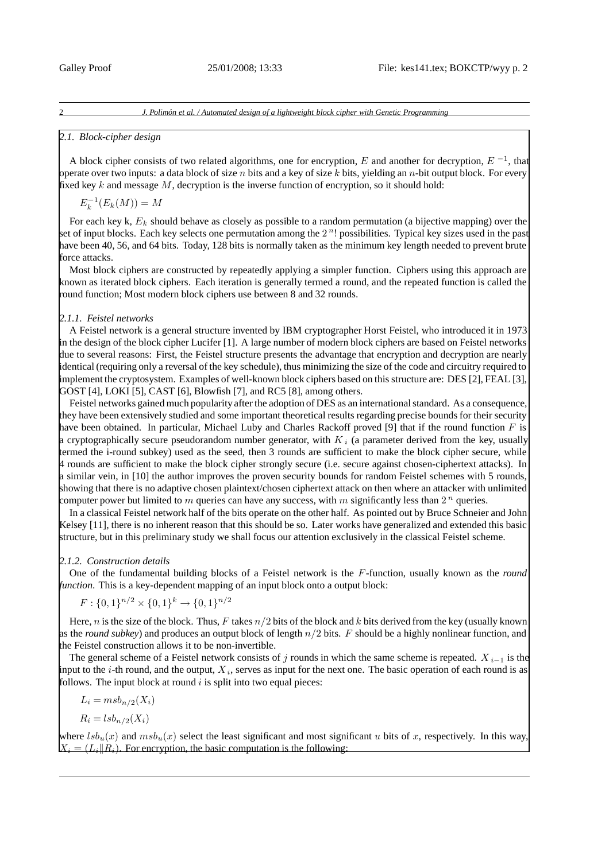#### *2.1. Block-cipher design*

A block cipher consists of two related algorithms, one for encryption, E and another for decryption,  $E^{-1}$ , that operate over two inputs: a data block of size n bits and a key of size k bits, yielding an n-bit output block. For every fixed key k and message M, decryption is the inverse function of encryption, so it should hold:

$$
E_k^{-1}(E_k(M)) = M
$$

For each key k,  $E_k$  should behave as closely as possible to a random permutation (a bijective mapping) over the set of input blocks. Each key selects one permutation among the  $2<sup>n</sup>!$  possibilities. Typical key sizes used in the past have been 40, 56, and 64 bits. Today, 128 bits is normally taken as the minimum key length needed to prevent brute force attacks.

Most block ciphers are constructed by repeatedly applying a simpler function. Ciphers using this approach are known as iterated block ciphers. Each iteration is generally termed a round, and the repeated function is called the round function; Most modern block ciphers use between 8 and 32 rounds.

#### *2.1.1. Feistel networks*

A Feistel network is a general structure invented by IBM cryptographer Horst Feistel, who introduced it in 1973 in the design of the block cipher Lucifer [1]. A large number of modern block ciphers are based on Feistel networks due to several reasons: First, the Feistel structure presents the advantage that encryption and decryption are nearly identical (requiring only a reversal of the key schedule), thus minimizing the size of the code and circuitry required to implement the cryptosystem. Examples of well-known block ciphers based on this structure are: DES [2], FEAL [3], GOST [4], LOKI [5], CAST [6], Blowfish [7], and RC5 [8], among others.

Feistel networks gained much popularity after the adoption of DES as an international standard. As a consequence, they have been extensively studied and some important theoretical results regarding precise bounds for their security have been obtained. In particular, Michael Luby and Charles Rackoff proved [9] that if the round function  $F$  is a cryptographically secure pseudorandom number generator, with  $K_i$  (a parameter derived from the key, usually termed the i-round subkey) used as the seed, then 3 rounds are sufficient to make the block cipher secure, while 4 rounds are sufficient to make the block cipher strongly secure (i.e. secure against chosen-ciphertext attacks). In a similar vein, in [10] the author improves the proven security bounds for random Feistel schemes with 5 rounds, showing that there is no adaptive chosen plaintext/chosen ciphertext attack on then where an attacker with unlimited computer power but limited to m queries can have any success, with m significantly less than  $2<sup>n</sup>$  queries.

In a classical Feistel network half of the bits operate on the other half. As pointed out by Bruce Schneier and John Kelsey [11], there is no inherent reason that this should be so. Later works have generalized and extended this basic structure, but in this preliminary study we shall focus our attention exclusively in the classical Feistel scheme.

#### *2.1.2. Construction details*

One of the fundamental building blocks of a Feistel network is the F-function, usually known as the *round function*. This is a key-dependent mapping of an input block onto a output block:

$$
F: \{0,1\}^{n/2} \times \{0,1\}^{k} \to \{0,1\}^{n/2}
$$

Here, n is the size of the block. Thus, F takes  $n/2$  bits of the block and k bits derived from the key (usually known as the *round subkey*) and produces an output block of length  $n/2$  bits. F should be a highly nonlinear function, and the Feistel construction allows it to be non-invertible.

The general scheme of a Feistel network consists of j rounds in which the same scheme is repeated.  $X_{i-1}$  is the input to the *i*-th round, and the output,  $X_i$ , serves as input for the next one. The basic operation of each round is as follows. The input block at round  $i$  is split into two equal pieces:

$$
L_i = m s b_{n/2}(X_i)
$$
  

$$
R_i = l s b_{n/2}(X_i)
$$

where  $lsb_u(x)$  and  $msb_u(x)$  select the least significant and most significant u bits of x, respectively. In this way,  $X_i = (L_i||R_i)$ . For encryption, the basic computation is the following: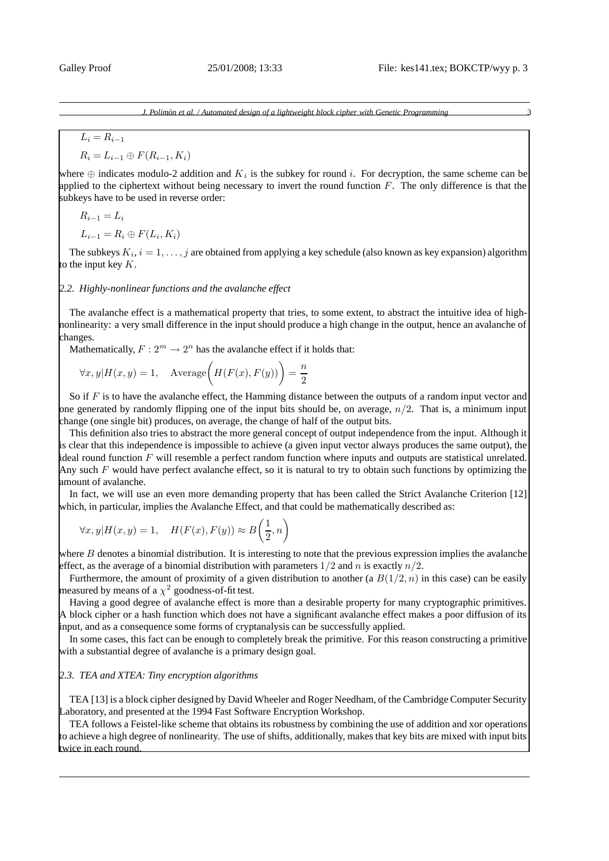$$
L_i = R_{i-1}
$$

$$
R_i = L_{i-1} \oplus F(R_{i-1}, K_i)
$$

where  $\oplus$  indicates modulo-2 addition and  $K_i$  is the subkey for round i. For decryption, the same scheme can be applied to the ciphertext without being necessary to invert the round function  $F$ . The only difference is that the subkeys have to be used in reverse order:

$$
R_{i-1} = L_i
$$

$$
L_{i-1} = R_i \oplus F(L_i, K_i)
$$

The subkeys  $K_i$ ,  $i = 1, \ldots, j$  are obtained from applying a key schedule (also known as key expansion) algorithm to the input key  $K$ .

#### *2.2. Highly-nonlinear functions and the avalanche effect*

The avalanche effect is a mathematical property that tries, to some extent, to abstract the intuitive idea of highnonlinearity: a very small difference in the input should produce a high change in the output, hence an avalanche of changes.

Mathematically,  $F: 2^m \to 2^n$  has the avalanche effect if it holds that:

$$
\forall x, y | H(x, y) = 1, \quad \text{Average}\bigg(H(F(x), F(y))\bigg) = \frac{n}{2}
$$

So if  $F$  is to have the avalanche effect, the Hamming distance between the outputs of a random input vector and one generated by randomly flipping one of the input bits should be, on average,  $n/2$ . That is, a minimum input change (one single bit) produces, on average, the change of half of the output bits.

This definition also tries to abstract the more general concept of output independence from the input. Although it is clear that this independence is impossible to achieve (a given input vector always produces the same output), the ideal round function  $F$  will resemble a perfect random function where inputs and outputs are statistical unrelated. Any such F would have perfect avalanche effect, so it is natural to try to obtain such functions by optimizing the amount of avalanche.

In fact, we will use an even more demanding property that has been called the Strict Avalanche Criterion [12] which, in particular, implies the Avalanche Effect, and that could be mathematically described as:

$$
\forall x, y | H(x, y) = 1, \quad H(F(x), F(y)) \approx B\left(\frac{1}{2}, n\right)
$$

where  $B$  denotes a binomial distribution. It is interesting to note that the previous expression implies the avalanche effect, as the average of a binomial distribution with parameters  $1/2$  and n is exactly  $n/2$ .

Furthermore, the amount of proximity of a given distribution to another (a  $B(1/2, n)$ ) in this case) can be easily measured by means of a  $\chi^2$  goodness-of-fit test.

Having a good degree of avalanche effect is more than a desirable property for many cryptographic primitives. A block cipher or a hash function which does not have a significant avalanche effect makes a poor diffusion of its input, and as a consequence some forms of cryptanalysis can be successfully applied.

In some cases, this fact can be enough to completely break the primitive. For this reason constructing a primitive with a substantial degree of avalanche is a primary design goal.

#### *2.3. TEA and XTEA: Tiny encryption algorithms*

TEA [13] is a block cipher designed by David Wheeler and Roger Needham, of the Cambridge Computer Security Laboratory, and presented at the 1994 Fast Software Encryption Workshop.

TEA follows a Feistel-like scheme that obtains its robustness by combining the use of addition and xor operations to achieve a high degree of nonlinearity. The use of shifts, additionally, makes that key bits are mixed with input bits twice in each round.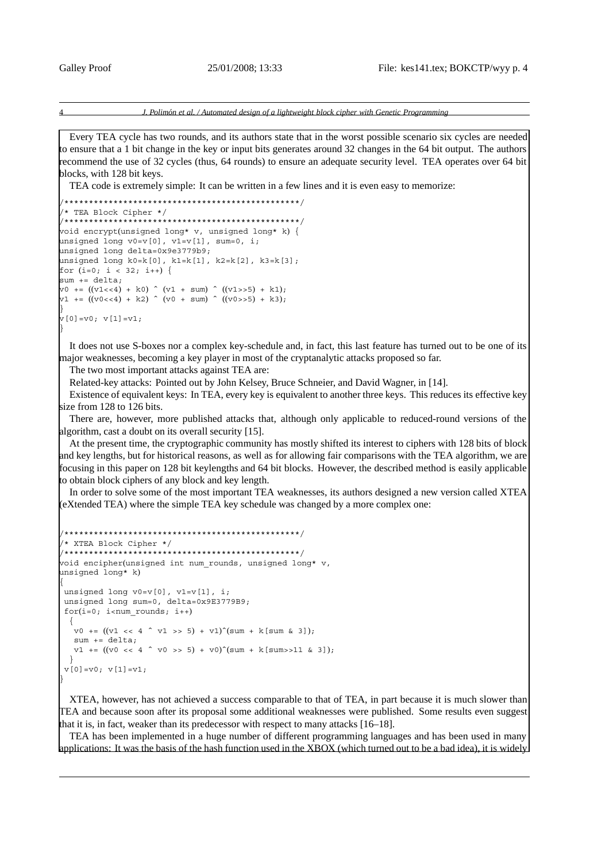}

4 *J. Polimon et al. / Automated design of a lightweight block cipher with Genetic Programming ´*

Every TEA cycle has two rounds, and its authors state that in the worst possible scenario six cycles are needed to ensure that a 1 bit change in the key or input bits generates around 32 changes in the 64 bit output. The authors recommend the use of 32 cycles (thus, 64 rounds) to ensure an adequate security level. TEA operates over 64 bit blocks, with 128 bit keys.

TEA code is extremely simple: It can be written in a few lines and it is even easy to memorize:

```
/************************************************/
/* TEA Block Cipher */
/************************************************/
void encrypt(unsigned long* v, unsigned long* k) {
unsigned long v0=v[0], v1=v[1], sum=0, i;
unsigned long delta=0x9e3779b9;
unsigned long k0=k[0], k1=k[1], k2=k[2], k3=k[3];
for (i=0; i < 32; i++) {
\sin m += delta\cdotv0 \leftarrow ((v1<<4) + k0) \uparrow (v1 + sum) \uparrow ((v1>>5) + k1);v1 = ((v0<<4) + k2) (v0 + sum) ((v0>>5) + k3);}
v[0] = v0; v[1] = v1;
```
It does not use S-boxes nor a complex key-schedule and, in fact, this last feature has turned out to be one of its major weaknesses, becoming a key player in most of the cryptanalytic attacks proposed so far.

The two most important attacks against TEA are:

Related-key attacks: Pointed out by John Kelsey, Bruce Schneier, and David Wagner, in [14].

Existence of equivalent keys: In TEA, every key is equivalent to another three keys. This reduces its effective key size from 128 to 126 bits.

There are, however, more published attacks that, although only applicable to reduced-round versions of the algorithm, cast a doubt on its overall security [15].

At the present time, the cryptographic community has mostly shifted its interest to ciphers with 128 bits of block and key lengths, but for historical reasons, as well as for allowing fair comparisons with the TEA algorithm, we are focusing in this paper on 128 bit keylengths and 64 bit blocks. However, the described method is easily applicable to obtain block ciphers of any block and key length.

In order to solve some of the most important TEA weaknesses, its authors designed a new version called XTEA (eXtended TEA) where the simple TEA key schedule was changed by a more complex one:

```
/************************************************/
/* XTEA Block Cipher */
/************************************************/
void encipher(unsigned int num_rounds, unsigned long* v,
unsigned long* k)
{
unsigned long v0=v[0], v1=v[1], i;
unsigned long sum=0, delta=0x9E3779B9;
for(i=0; i<sub>max</sub> rounds; i++){
  v0 += ((v1 \lt t 4 \land v1 \gt b 5) + v1)^{(\text{sum} + k[\text{sum} 6 3]);sum += delta;
  v1 += ((v0 \le 4 \cap v0 \gg 5) + v0)^{2}(sum + k[sum > 11 & 3]);
  }
v[0]=v0; v[1]=v1;}
```
XTEA, however, has not achieved a success comparable to that of TEA, in part because it is much slower than TEA and because soon after its proposal some additional weaknesses were published. Some results even suggest that it is, in fact, weaker than its predecessor with respect to many attacks [16–18].

TEA has been implemented in a huge number of different programming languages and has been used in many applications: It was the basis of the hash function used in the XBOX (which turned out to be a bad idea), it is widely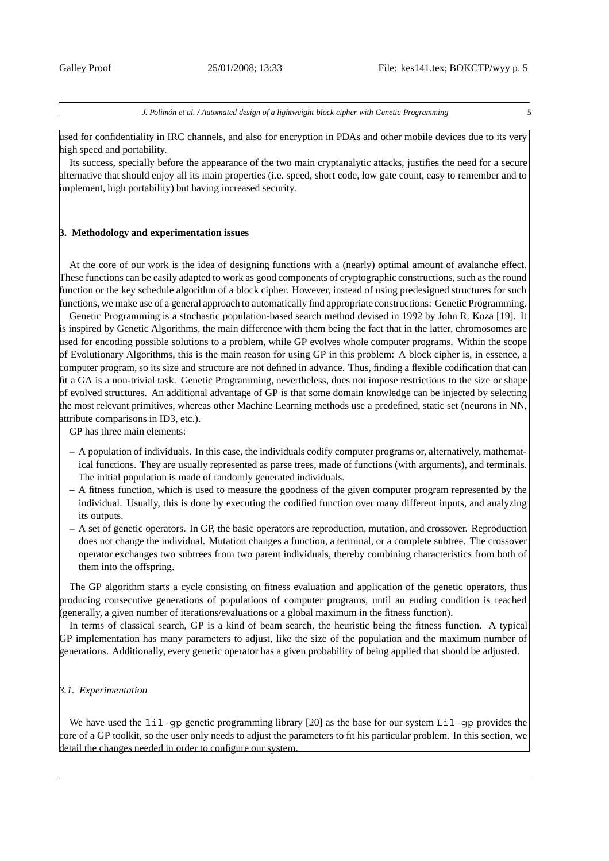used for confidentiality in IRC channels, and also for encryption in PDAs and other mobile devices due to its very high speed and portability.

Its success, specially before the appearance of the two main cryptanalytic attacks, justifies the need for a secure alternative that should enjoy all its main properties (i.e. speed, short code, low gate count, easy to remember and to implement, high portability) but having increased security.

#### **3. Methodology and experimentation issues**

At the core of our work is the idea of designing functions with a (nearly) optimal amount of avalanche effect. These functions can be easily adapted to work as good components of cryptographic constructions, such as the round function or the key schedule algorithm of a block cipher. However, instead of using predesigned structures for such functions, we make use of a general approach to automatically find appropriate constructions: Genetic Programming.

Genetic Programming is a stochastic population-based search method devised in 1992 by John R. Koza [19]. It is inspired by Genetic Algorithms, the main difference with them being the fact that in the latter, chromosomes are used for encoding possible solutions to a problem, while GP evolves whole computer programs. Within the scope of Evolutionary Algorithms, this is the main reason for using GP in this problem: A block cipher is, in essence, a computer program, so its size and structure are not defined in advance. Thus, finding a flexible codification that can fit a GA is a non-trivial task. Genetic Programming, nevertheless, does not impose restrictions to the size or shape of evolved structures. An additional advantage of GP is that some domain knowledge can be injected by selecting the most relevant primitives, whereas other Machine Learning methods use a predefined, static set (neurons in NN, attribute comparisons in ID3, etc.).

GP has three main elements:

- **–** A population of individuals. In this case, the individuals codify computer programs or, alternatively, mathematical functions. They are usually represented as parse trees, made of functions (with arguments), and terminals. The initial population is made of randomly generated individuals.
- **–** A fitness function, which is used to measure the goodness of the given computer program represented by the individual. Usually, this is done by executing the codified function over many different inputs, and analyzing its outputs.
- **–** A set of genetic operators. In GP, the basic operators are reproduction, mutation, and crossover. Reproduction does not change the individual. Mutation changes a function, a terminal, or a complete subtree. The crossover operator exchanges two subtrees from two parent individuals, thereby combining characteristics from both of them into the offspring.

The GP algorithm starts a cycle consisting on fitness evaluation and application of the genetic operators, thus producing consecutive generations of populations of computer programs, until an ending condition is reached (generally, a given number of iterations/evaluations or a global maximum in the fitness function).

In terms of classical search, GP is a kind of beam search, the heuristic being the fitness function. A typical GP implementation has many parameters to adjust, like the size of the population and the maximum number of generations. Additionally, every genetic operator has a given probability of being applied that should be adjusted.

#### *3.1. Experimentation*

We have used the lil-qp genetic programming library [20] as the base for our system Lil-qp provides the core of a GP toolkit, so the user only needs to adjust the parameters to fit his particular problem. In this section, we detail the changes needed in order to configure our system.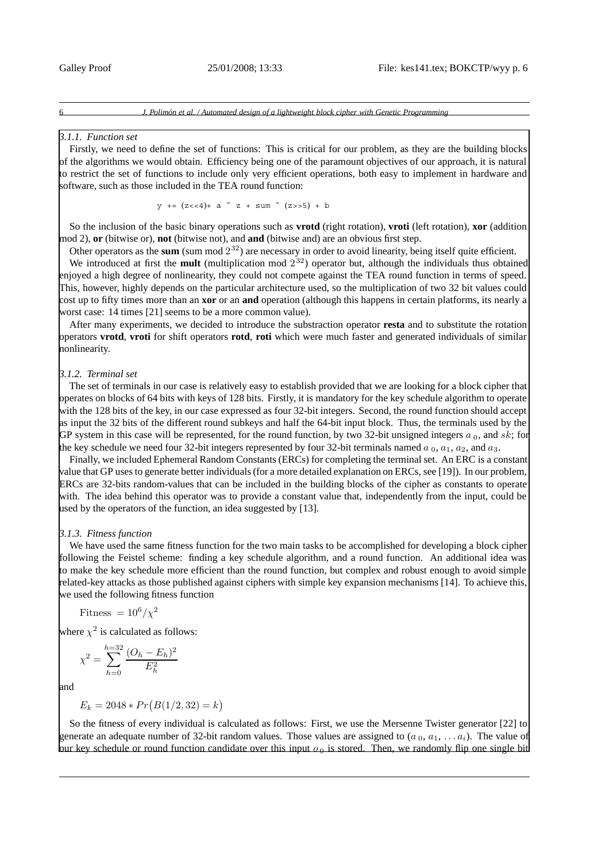#### *3.1.1. Function set*

Firstly, we need to define the set of functions: This is critical for our problem, as they are the building blocks of the algorithms we would obtain. Efficiency being one of the paramount objectives of our approach, it is natural to restrict the set of functions to include only very efficient operations, both easy to implement in hardware and software, such as those included in the TEA round function:

 $y == (z<<4) + a ^ z + sum ^ (z>>5) + b$ 

So the inclusion of the basic binary operations such as **vrotd** (right rotation), **vroti** (left rotation), **xor** (addition mod 2), **or** (bitwise or), **not** (bitwise not), and **and** (bitwise and) are an obvious first step.

Other operators as the sum (sum mod  $2^{32}$ ) are necessary in order to avoid linearity, being itself quite efficient.

We introduced at first the **mult** (multiplication mod  $2^{32}$ ) operator but, although the individuals thus obtained enjoyed a high degree of nonlinearity, they could not compete against the TEA round function in terms of speed. This, however, highly depends on the particular architecture used, so the multiplication of two 32 bit values could cost up to fifty times more than an **xor** or an **and** operation (although this happens in certain platforms, its nearly a worst case: 14 times [21] seems to be a more common value).

After many experiments, we decided to introduce the substraction operator **resta** and to substitute the rotation operators **vrotd**, **vroti** for shift operators **rotd**, **roti** which were much faster and generated individuals of similar nonlinearity.

#### *3.1.2. Terminal set*

The set of terminals in our case is relatively easy to establish provided that we are looking for a block cipher that operates on blocks of 64 bits with keys of 128 bits. Firstly, it is mandatory for the key schedule algorithm to operate with the 128 bits of the key, in our case expressed as four 32-bit integers. Second, the round function should accept as input the 32 bits of the different round subkeys and half the 64-bit input block. Thus, the terminals used by the GP system in this case will be represented, for the round function, by two 32-bit unsigned integers  $a_0$ , and sk; for the key schedule we need four 32-bit integers represented by four 32-bit terminals named  $a_0, a_1, a_2,$  and  $a_3$ .

Finally, we included Ephemeral Random Constants (ERCs) for completing the terminal set. An ERC is a constant value that GP uses to generate better individuals (for a more detailed explanation on ERCs, see [19]). In our problem, ERCs are 32-bits random-values that can be included in the building blocks of the cipher as constants to operate with. The idea behind this operator was to provide a constant value that, independently from the input, could be used by the operators of the function, an idea suggested by [13].

#### *3.1.3. Fitness function*

We have used the same fitness function for the two main tasks to be accomplished for developing a block cipher following the Feistel scheme: finding a key schedule algorithm, and a round function. An additional idea was to make the key schedule more efficient than the round function, but complex and robust enough to avoid simple related-key attacks as those published against ciphers with simple key expansion mechanisms [14]. To achieve this, we used the following fitness function

$$
Fitness = 10^6 / \chi^2
$$

where  $\chi^2$  is calculated as follows:

$$
\chi^2 = \sum_{h=0}^{h=32} \frac{(O_h - E_h)^2}{E_h^2}
$$

and

$$
E_k = 2048 \cdot Pr(B(1/2, 32) = k)
$$

So the fitness of every individual is calculated as follows: First, we use the Mersenne Twister generator [22] to generate an adequate number of 32-bit random values. Those values are assigned to  $(a_0, a_1, \ldots, a_i)$ . The value of our key schedule or round function candidate over this input  $\rho_0$  is stored. Then, we randomly flip one single bit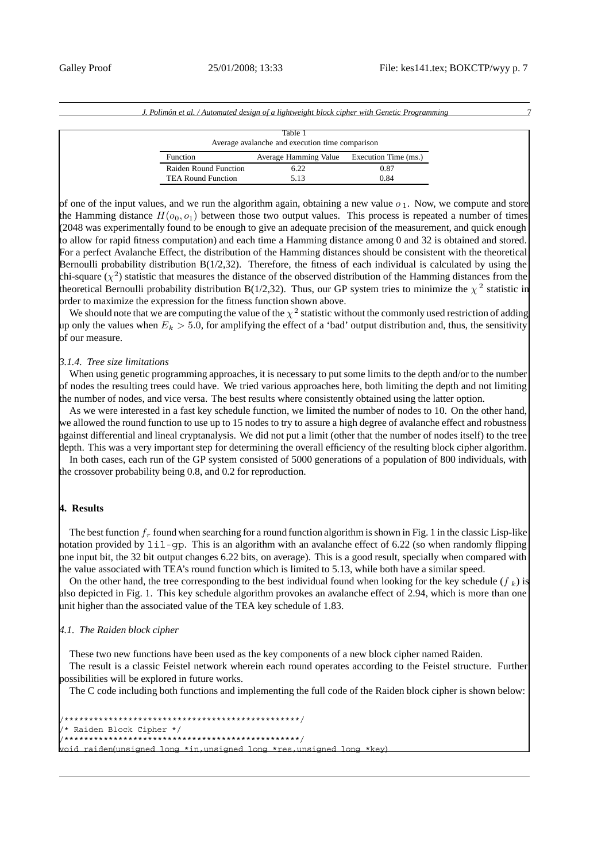| J. Polimón et al. / Automated design of a lightweight block cipher with Genetic Programming |                                                            |      |
|---------------------------------------------------------------------------------------------|------------------------------------------------------------|------|
|                                                                                             | Table 1<br>Average avalanche and execution time comparison |      |
| Function                                                                                    | Average Hamming Value<br>Execution Time (ms.)              |      |
| Raiden Round Function                                                                       | 6.22                                                       | 0.87 |
| <b>TEA Round Function</b>                                                                   | 5.13                                                       | 0.84 |

of one of the input values, and we run the algorithm again, obtaining a new value  $o_1$ . Now, we compute and store the Hamming distance  $H(o_0, o_1)$  between those two output values. This process is repeated a number of times (2048 was experimentally found to be enough to give an adequate precision of the measurement, and quick enough to allow for rapid fitness computation) and each time a Hamming distance among 0 and 32 is obtained and stored. For a perfect Avalanche Effect, the distribution of the Hamming distances should be consistent with the theoretical Bernoulli probability distribution  $B(1/2,32)$ . Therefore, the fitness of each individual is calculated by using the chi-square  $(\chi^2)$  statistic that measures the distance of the observed distribution of the Hamming distances from the theoretical Bernoulli probability distribution B(1/2,32). Thus, our GP system tries to minimize the  $\chi^2$  statistic in order to maximize the expression for the fitness function shown above.

We should note that we are computing the value of the  $\chi^2$  statistic without the commonly used restriction of adding up only the values when  $E_k > 5.0$ , for amplifying the effect of a 'bad' output distribution and, thus, the sensitivity of our measure.

#### *3.1.4. Tree size limitations*

When using genetic programming approaches, it is necessary to put some limits to the depth and/or to the number of nodes the resulting trees could have. We tried various approaches here, both limiting the depth and not limiting the number of nodes, and vice versa. The best results where consistently obtained using the latter option.

As we were interested in a fast key schedule function, we limited the number of nodes to 10. On the other hand, we allowed the round function to use up to 15 nodes to try to assure a high degree of avalanche effect and robustness against differential and lineal cryptanalysis. We did not put a limit (other that the number of nodes itself) to the tree depth. This was a very important step for determining the overall efficiency of the resulting block cipher algorithm. In both cases, each run of the GP system consisted of 5000 generations of a population of 800 individuals, with the crossover probability being 0.8, and 0.2 for reproduction.

#### **4. Results**

The best function  $f_r$  found when searching for a round function algorithm is shown in Fig. 1 in the classic Lisp-like notation provided by lil-gp. This is an algorithm with an avalanche effect of 6.22 (so when randomly flipping one input bit, the 32 bit output changes 6.22 bits, on average). This is a good result, specially when compared with the value associated with TEA's round function which is limited to 5.13, while both have a similar speed.

On the other hand, the tree corresponding to the best individual found when looking for the key schedule ( $f_k$ ) is also depicted in Fig. 1. This key schedule algorithm provokes an avalanche effect of 2.94, which is more than one unit higher than the associated value of the TEA key schedule of 1.83.

#### *4.1. The Raiden block cipher*

These two new functions have been used as the key components of a new block cipher named Raiden.

The result is a classic Feistel network wherein each round operates according to the Feistel structure. Further possibilities will be explored in future works.

The C code including both functions and implementing the full code of the Raiden block cipher is shown below:

```
/************************************************/
 /* Raiden Block Cipher */
    /************************************************/
     raiden(unsigned long *in,unsigned long *res,unsigned long *key)
```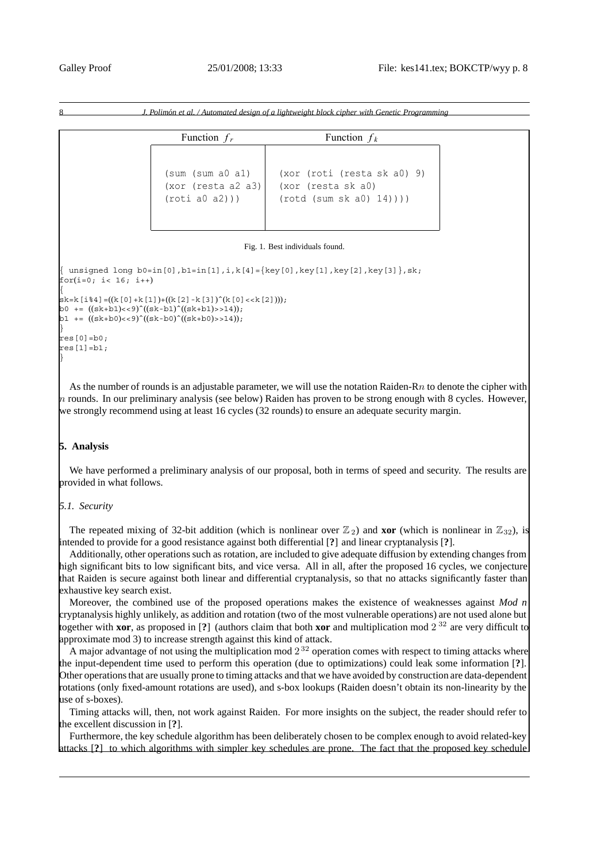8 *J. Polimon et al. / Automated design of a lightweight block cipher with Genetic Programming ´*

| Function $f_r$      | Function $f_k$              |
|---------------------|-----------------------------|
| (sum (sum a0 a1)    | (xor (roti (resta sk a0) 9) |
| (xor (resta a2 a3)) | (xor (resta sk a0)          |
| (roti a0 a2))       | (rotd (sum sk a0) 14))      |

#### Fig. 1. Best individuals found.

```
unsigned long b0=in[0], b1=in[1], i,k[4]=\{key[0], key[1], key[2], key[3]\}, sk;for(i=0; i< 16; i++){
sk=k[i%4]=((k[0]+k[1])+((k[2]-k[3])ˆ(k[0]<<k[2])));
b0 += ((sk+b1)<<9)^{m}((sk-b1)^{m}((sk+b1)>14));b1 += ((sk+b0)<0)<sup>2</sup>((sk-b0)<sup>2</sup>((sk+b0)<0)<sub>2</sub>);
}
res[0]=b0;
res[1]=b1;
```
As the number of rounds is an adjustable parameter, we will use the notation Raiden-R<sub>n</sub> to denote the cipher with n rounds. In our preliminary analysis (see below) Raiden has proven to be strong enough with 8 cycles. However, we strongly recommend using at least 16 cycles (32 rounds) to ensure an adequate security margin.

#### **5. Analysis**

}

We have performed a preliminary analysis of our proposal, both in terms of speed and security. The results are provided in what follows.

#### *5.1. Security*

The repeated mixing of 32-bit addition (which is nonlinear over  $\mathbb{Z}_2$ ) and **xor** (which is nonlinear in  $\mathbb{Z}_{32}$ ), is intended to provide for a good resistance against both differential [**?**] and linear cryptanalysis [**?**].

Additionally, other operations such as rotation, are included to give adequate diffusion by extending changes from high significant bits to low significant bits, and vice versa. All in all, after the proposed 16 cycles, we conjecture that Raiden is secure against both linear and differential cryptanalysis, so that no attacks significantly faster than exhaustive key search exist.

Moreover, the combined use of the proposed operations makes the existence of weaknesses against *Mod n* cryptanalysis highly unlikely, as addition and rotation (two of the most vulnerable operations) are not used alone but together with **xor**, as proposed in [**?**] (authors claim that both **xor** and multiplication mod 2 <sup>32</sup> are very difficult to approximate mod 3) to increase strength against this kind of attack.

A major advantage of not using the multiplication mod  $2^{32}$  operation comes with respect to timing attacks where the input-dependent time used to perform this operation (due to optimizations) could leak some information [**?**]. Other operations that are usually prone to timing attacks and that we have avoided by construction are data-dependent rotations (only fixed-amount rotations are used), and s-box lookups (Raiden doesn't obtain its non-linearity by the use of s-boxes).

Timing attacks will, then, not work against Raiden. For more insights on the subject, the reader should refer to the excellent discussion in [**?**].

Furthermore, the key schedule algorithm has been deliberately chosen to be complex enough to avoid related-key attacks [**?**] to which algorithms with simpler key schedules are prone. The fact that the proposed key schedule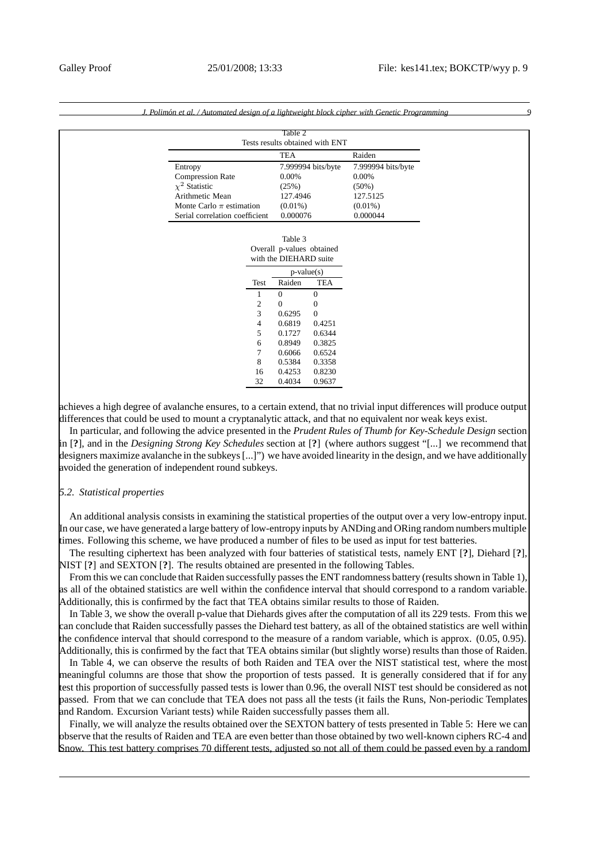|                         |                                                                | Table 2                | Tests results obtained with ENT |                                                |  |
|-------------------------|----------------------------------------------------------------|------------------------|---------------------------------|------------------------------------------------|--|
|                         |                                                                | <b>TEA</b>             |                                 | Raiden                                         |  |
| Entropy                 |                                                                |                        | 7.999994 bits/byte              | 7.999994 bits/byte<br>$0.00\%$                 |  |
| <b>Compression Rate</b> |                                                                | 0.00%                  |                                 |                                                |  |
| $\chi^2$ Statistic      |                                                                | (25%)                  |                                 | $(50\%)$<br>127.5125<br>$(0.01\%)$<br>0.000044 |  |
| Arithmetic Mean         |                                                                | 127.4946               |                                 |                                                |  |
|                         | Monte Carlo $\pi$ estimation<br>Serial correlation coefficient |                        | $(0.01\%)$                      |                                                |  |
|                         |                                                                |                        | 0.000076                        |                                                |  |
|                         | Test                                                           | $p-value(s)$<br>Raiden | <b>TEA</b>                      |                                                |  |
|                         |                                                                | $\Omega$               | $\Omega$                        |                                                |  |
|                         | 2                                                              | $\Omega$               | $\Omega$                        |                                                |  |
|                         | 3                                                              | 0.6295                 | $\theta$                        |                                                |  |
|                         | 4                                                              | 0.6819                 | 0.4251                          |                                                |  |
|                         | 5                                                              | 0.1727                 | 0.6344                          |                                                |  |
|                         | 6                                                              | 0.8949                 | 0.3825                          |                                                |  |
|                         | 7                                                              | 0.6066                 | 0.6524                          |                                                |  |
|                         | 8                                                              | 0.5384                 | 0.3358                          |                                                |  |
|                         | 16                                                             | 0.4253                 | 0.8230                          |                                                |  |
|                         | 32                                                             | 0.4034                 | 0.9637                          |                                                |  |

achieves a high degree of avalanche ensures, to a certain extend, that no trivial input differences will produce output differences that could be used to mount a cryptanalytic attack, and that no equivalent nor weak keys exist.

In particular, and following the advice presented in the *Prudent Rules of Thumb for Key-Schedule Design* section in [**?**], and in the *Designing Strong Key Schedules* section at [**?**] (where authors suggest "[...] we recommend that designers maximize avalanche in the subkeys [...]") we have avoided linearity in the design, and we have additionally avoided the generation of independent round subkeys.

#### *5.2. Statistical properties*

An additional analysis consists in examining the statistical properties of the output over a very low-entropy input. In our case, we have generated a large battery of low-entropy inputs by ANDing and ORing random numbers multiple times. Following this scheme, we have produced a number of files to be used as input for test batteries.

The resulting ciphertext has been analyzed with four batteries of statistical tests, namely ENT [**?**], Diehard [**?**], NIST [**?**] and SEXTON [**?**]. The results obtained are presented in the following Tables.

From this we can conclude that Raiden successfully passes the ENT randomness battery (results shown in Table 1), as all of the obtained statistics are well within the confidence interval that should correspond to a random variable. Additionally, this is confirmed by the fact that TEA obtains similar results to those of Raiden.

In Table 3, we show the overall p-value that Diehards gives after the computation of all its 229 tests. From this we can conclude that Raiden successfully passes the Diehard test battery, as all of the obtained statistics are well within the confidence interval that should correspond to the measure of a random variable, which is approx. (0.05, 0.95). Additionally, this is confirmed by the fact that TEA obtains similar (but slightly worse) results than those of Raiden.

In Table 4, we can observe the results of both Raiden and TEA over the NIST statistical test, where the most meaningful columns are those that show the proportion of tests passed. It is generally considered that if for any test this proportion of successfully passed tests is lower than 0.96, the overall NIST test should be considered as not passed. From that we can conclude that TEA does not pass all the tests (it fails the Runs, Non-periodic Templates and Random. Excursion Variant tests) while Raiden successfully passes them all.

Finally, we will analyze the results obtained over the SEXTON battery of tests presented in Table 5: Here we can observe that the results of Raiden and TEA are even better than those obtained by two well-known ciphers RC-4 and Snow. This test battery comprises 70 different tests, adjusted so not all of them could be passed even by a random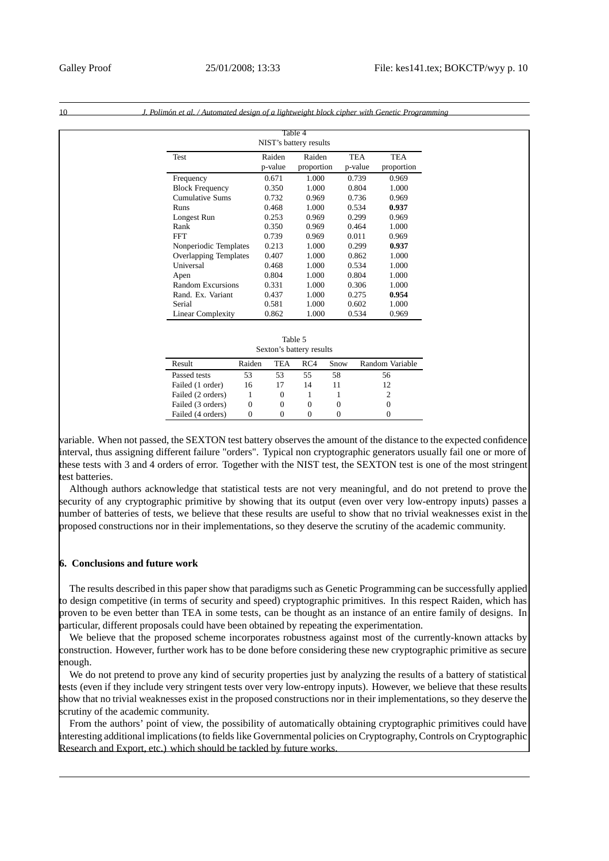|                              |              |                   | Table 4<br>NIST's battery results   |                |                       |                          |  |
|------------------------------|--------------|-------------------|-------------------------------------|----------------|-----------------------|--------------------------|--|
| Test                         |              | Raiden<br>p-value | Raiden<br>proportion                |                | <b>TEA</b><br>p-value | <b>TEA</b><br>proportion |  |
| Frequency                    |              | 0.671             | 1.000                               |                | 0.739                 | 0.969                    |  |
| <b>Block Frequency</b>       |              | 0.350             | 1.000                               |                | 0.804                 | 1.000                    |  |
| <b>Cumulative Sums</b>       |              | 0.732             | 0.969                               |                | 0.736                 | 0.969                    |  |
| Runs                         |              | 0.468             | 1.000                               |                | 0.534                 | 0.937                    |  |
| Longest Run                  |              | 0.253             | 0.969                               |                | 0.299                 | 0.969                    |  |
| Rank                         |              | 0.350             | 0.969                               |                | 0.464                 | 1.000                    |  |
| <b>FFT</b>                   |              | 0.739             | 0.969                               |                | 0.011                 | 0.969                    |  |
| Nonperiodic Templates        |              | 0.213             | 1.000                               |                | 0.299                 | 0.937                    |  |
| <b>Overlapping Templates</b> |              | 0.407             | 1.000                               |                | 0.862                 | 1.000                    |  |
| Universal                    |              | 0.468             | 1.000                               |                | 0.534                 | 1.000                    |  |
| Apen                         |              | 0.804             | 1.000                               |                | 0.804                 | 1.000                    |  |
| <b>Random Excursions</b>     |              | 0.331             | 1.000                               |                | 0.306                 | 1.000                    |  |
| Rand. Ex. Variant            |              | 0.437             | 1.000                               |                | 0.275                 | 0.954                    |  |
| Serial                       |              | 0.581             | 1.000                               |                | 0.602                 | 1.000                    |  |
| <b>Linear Complexity</b>     |              | 0.862             | 1.000                               |                | 0.534                 | 0.969                    |  |
|                              |              |                   | Table 5<br>Sexton's battery results |                |                       |                          |  |
| Result                       | Raiden       | <b>TEA</b>        | RC4                                 | Snow           |                       | Random Variable          |  |
| Passed tests                 | 53           | 53                | 55                                  | 58             |                       | 56                       |  |
| Failed (1 order)             | 16           | 17                | 14                                  | 11             |                       | 12                       |  |
| Failed (2 orders)            | $\mathbf{1}$ | $\mathbf{0}$      | 1                                   | 1              |                       | $\overline{c}$           |  |
| Failed (3 orders)            | $\mathbf{0}$ | $\mathbf{0}$      | 0                                   | $\mathbf{0}$   |                       | $\overline{0}$           |  |
| Failed (4 orders)            | $\mathbf{0}$ | $\Omega$          | $\overline{0}$                      | $\overline{0}$ |                       | $\overline{0}$           |  |

variable. When not passed, the SEXTON test battery observes the amount of the distance to the expected confidence interval, thus assigning different failure "orders". Typical non cryptographic generators usually fail one or more of these tests with 3 and 4 orders of error. Together with the NIST test, the SEXTON test is one of the most stringent test batteries.

Although authors acknowledge that statistical tests are not very meaningful, and do not pretend to prove the security of any cryptographic primitive by showing that its output (even over very low-entropy inputs) passes a number of batteries of tests, we believe that these results are useful to show that no trivial weaknesses exist in the proposed constructions nor in their implementations, so they deserve the scrutiny of the academic community.

#### **6. Conclusions and future work**

The results described in this paper show that paradigms such as Genetic Programming can be successfully applied to design competitive (in terms of security and speed) cryptographic primitives. In this respect Raiden, which has proven to be even better than TEA in some tests, can be thought as an instance of an entire family of designs. In particular, different proposals could have been obtained by repeating the experimentation.

We believe that the proposed scheme incorporates robustness against most of the currently-known attacks by construction. However, further work has to be done before considering these new cryptographic primitive as secure enough.

We do not pretend to prove any kind of security properties just by analyzing the results of a battery of statistical tests (even if they include very stringent tests over very low-entropy inputs). However, we believe that these results show that no trivial weaknesses exist in the proposed constructions nor in their implementations, so they deserve the scrutiny of the academic community.

From the authors' point of view, the possibility of automatically obtaining cryptographic primitives could have interesting additional implications (to fields like Governmental policies on Cryptography, Controls on Cryptographic Research and Export, etc.) which should be tackled by future works.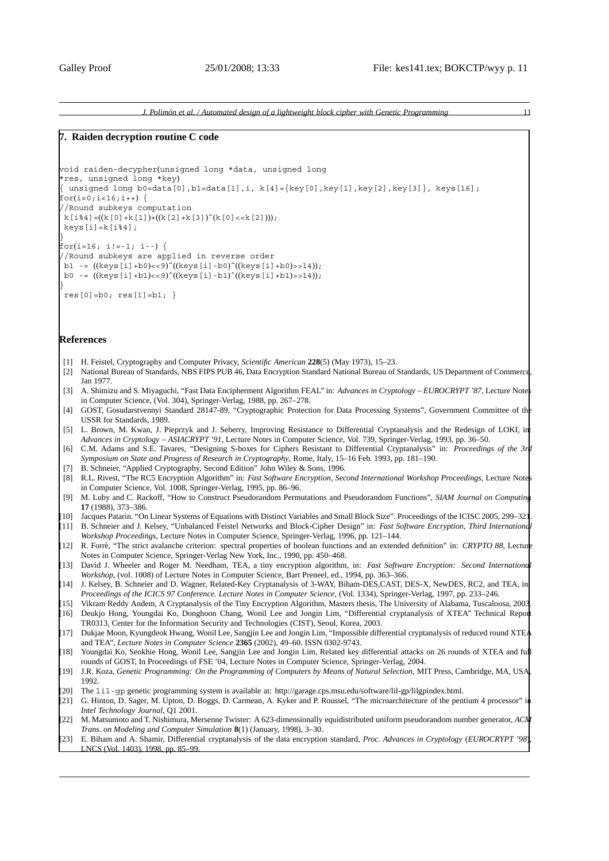#### **7. Raiden decryption routine C code**

```
void raiden-decypher(unsigned long *data, unsigned long
*res, unsigned long *key)
{ unsigned long b0=data[0],b1=data[1],i, k[4]={key[0],key[1],key[2],key[3]}, keys[16];
for(i=0; i<16; i++) {
//Round subkeys computation
 k[i\$4]=((k[0]+k[1])+((k[2]+k[3])^(k[0]<<k[2])));
keys[i]=k[i*4];}
for(i=16; i!=-1; i--) {
//Round subkeys are applied in reverse order
b1 -= ((keys[i]+b0)<<9)^*((keys[i]-b0)^*((keys[i]+b0)>>14));b0 -= ((keys[i]+b1)<<9)^{((keys[i]-b1)^{((keys[i]+b1)>>14)});}
```
 $res[0] = b0; res[1] = b1;$ 

#### **References**

- [1] H. Feistel, Cryptography and Computer Privacy, *Scientific American* **228**(5) (May 1973), 15–23.
- [2] National Bureau of Standards, NBS FIPS PUB 46, Data Encryption Standard National Bureau of Standards, US Department of Commerce, Jan 1977.
- [3] A. Shimizu and S. Miyaguchi, "Fast Data Encipherment Algorithm FEAL" in: *Advances in Cryptology EUROCRYPT '87*, Lecture Notes in Computer Science, (Vol. 304), Springer-Verlag, 1988, pp. 267–278.
- [4] GOST, Gosudarstvennyi Standard 28147-89, "Cryptographic Protection for Data Processing Systems", Government Committee of the USSR for Standards, 1989.
- [5] L. Brown, M. Kwan, J. Pieprzyk and J. Seberry, Improving Resistance to Differential Cryptanalysis and the Redesign of LOKI, in: *Advances in Cryptology – ASIACRYPT '91*, Lecture Notes in Computer Science, Vol. 739, Springer-Verlag, 1993, pp. 36–50.
- [6] C.M. Adams and S.E. Tavares, "Designing S-boxes for Ciphers Resistant to Differential Cryptanalysis" in: *Proceedings of the 3rd Symposium on State and Progress of Research in Cryptography*, Rome, Italy, 15–16 Feb. 1993, pp. 181–190.
- [7] B. Schneier, "Applied Cryptography, Second Edition" John Wiley & Sons, 1996.
- [8] R.L. Rivest, "The RC5 Encryption Algorithm" in: *Fast Software Encryption, Second International Workshop Proceedings*, Lecture Notes in Computer Science, Vol. 1008, Springer-Verlag, 1995, pp. 86–96.
- [9] M. Luby and C. Rackoff, "How to Construct Pseudorandom Permutations and Pseudorandom Functions", *SIAM Journal on Computing* **17** (1988), 373–386.
- [10] Jacques Patarin. "On Linear Systems of Equations with Distinct Variables and Small Block Size". Proceedings of the ICISC 2005, 299–321. [11] B. Schneier and J. Kelsey, "Unbalanced Feistel Networks and Block-Cipher Design" in: *Fast Software Encryption, Third International*
- *Workshop Proceedings*, Lecture Notes in Computer Science, Springer-Verlag, 1996, pp. 121–144. [12] R. Forre, "The strict avalanche criterion: spectral properties of boolean functions and an extended definition" in: ´ *CRYPTO 88*, Lecture
- Notes in Computer Science, Springer-Verlag New York, Inc., 1990, pp. 450–468.
- [13] David J. Wheeler and Roger M. Needham, TEA, a tiny encryption algorithm, in: *Fast Software Encryption: Second International Workshop*, (vol. 1008) of Lecture Notes in Computer Science, Bart Preneel, ed., 1994, pp. 363–366.
- [14] J. Kelsey, B. Schneier and D. Wagner, Related-Key Cryptanalysis of 3-WAY, Biham-DES,CAST, DES-X, NewDES, RC2, and TEA, in: *Proceedings of the ICICS 97 Conference. Lecture Notes in Computer Science*, (Vol. 1334), Springer-Verlag, 1997, pp. 233–246.
- [15] Vikram Reddy Andem, A Cryptanalysis of the Tiny Encryption Algorithm, Masters thesis, The University of Alabama, Tuscaloosa, 2003. Deukjo Hong, Youngdai Ko, Donghoon Chang, Wonil Lee and Jongin Lim, "Differential cryptanalysis of XTEA" Technical Repor TR0313, Center for the Information Security and Technologies (CIST), Seoul, Korea, 2003.
- [17] Dukjae Moon, Kyungdeok Hwang, Wonil Lee, Sangjin Lee and Jongin Lim, "Impossible differential cryptanalysis of reduced round XTEA and TEA", *Lecture Notes in Computer Science* **2365** (2002), 49–60. ISSN 0302-9743.
- [18] Youngdai Ko, Seokhie Hong, Wonil Lee, Sangjin Lee and Jongin Lim, Related key differential attacks on 26 rounds of XTEA and full rounds of GOST, In Proceedings of FSE '04, Lecture Notes in Computer Science, Springer-Verlag, 2004.
- [19] J.R. Koza, *Genetic Programming: On the Programming of Computers by Means of Natural Selection*, MIT Press, Cambridge, MA, USA, 1992.
- [20] The lil-gp genetic programming system is available at: http://garage.cps.msu.edu/software/lil-gp/lilgpindex.html.
- [21] G. Hinton, D. Sager, M. Upton, D. Boggs, D. Carmean, A. Kyker and P. Roussel, "The microarchitecture of the pentium 4 processor" in *Intel Technology Journal*, Q1 2001.
- [22] M. Matsumoto and T. Nishimura, Mersenne Twister: A 623-dimensionally equidistributed uniform pseudorandom number generator, *ACM Trans. on Modeling and Computer Simulation* **8**(1) (January, 1998), 3–30.
- [23] E. Biham and A. Shamir, Differential cryptanalysis of the data encryption standard, *Proc. Advances in Cryptology* (*EUROCRYPT '98*), LNCS (Vol. 1403), 1998, pp. 85–99.